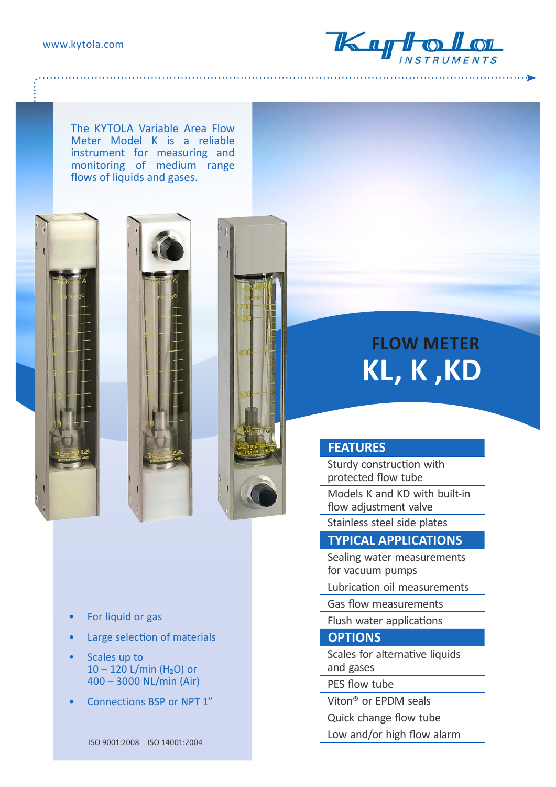www.kytola.com



The KYTOLA Variable Area Flow Meter Model K is a reliable instrument for measuring and monitoring of medium range flows of liquids and gases.







#### • For liquid or gas

- Large selection of materials
- Scales up to  $10 - 120$  L/min (H<sub>2</sub>O) or 400 – 3000 NL/min (Air)
- Connections BSP or NPT 1"

ISO 9001:2008 ISO 14001:2004

# **FLOW METER KL, K ,KD**

### **FEATURES**

Sturdy construction with protected flow tube

Models K and KD with built-in flow adjustment valve

Stainless steel side plates

## **TYPICAL APPLICATIONS**

Sealing water measurements for vacuum pumps

Lubrication oil measurements

Gas flow measurements

Flush water applications

#### **OPTIONS**

Scales for alternative liquids and gases

PES flow tube

Viton® or EPDM seals

Quick change flow tube

Low and/or high flow alarm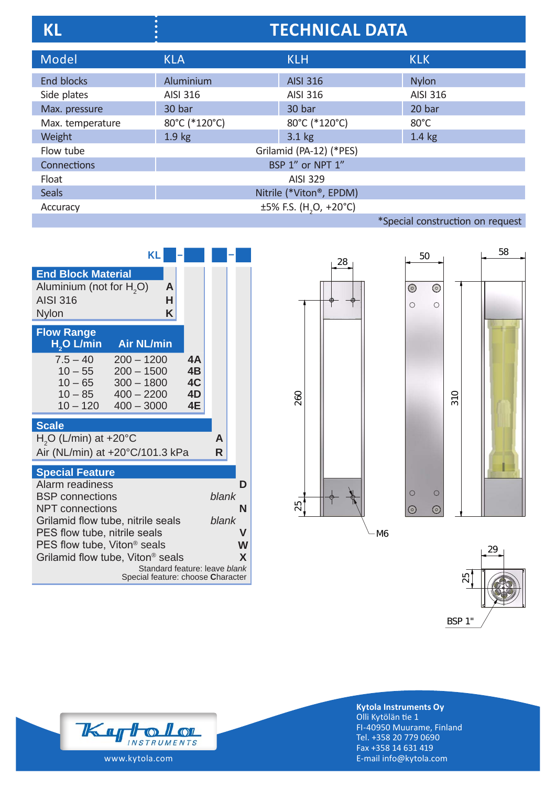| KL               | $\bullet$<br><b>TECHNICAL DATA</b> |                                    |                                  |
|------------------|------------------------------------|------------------------------------|----------------------------------|
| <b>Model</b>     | <b>KLA</b>                         | <b>KLH</b>                         | <b>KLK</b>                       |
| End blocks       | Aluminium                          | <b>AISI 316</b>                    | <b>Nylon</b>                     |
| Side plates      | AISI 316                           | AISI 316                           | AISI 316                         |
| Max. pressure    | 30 bar                             | 30 bar                             | 20 bar                           |
| Max. temperature | 80°C (*120°C)                      | 80°C (*120°C)                      | $80^{\circ}$ C                   |
| Weight           | 1.9 <sub>kg</sub>                  | $3.1 \text{ kg}$                   | $1.4 \text{ kg}$                 |
| Flow tube        |                                    | Grilamid (PA-12) (*PES)            |                                  |
| Connections      | BSP 1" or NPT 1"                   |                                    |                                  |
| Float            | <b>AISI 329</b>                    |                                    |                                  |
| <b>Seals</b>     |                                    | Nitrile (*Viton®, EPDM)            |                                  |
| Accuracy         |                                    | ±5% F.S. (H <sub>2</sub> O, +20°C) |                                  |
|                  |                                    |                                    | *Special construction on request |

|                                                                                            | <b>KL</b>                                                                    |                            |        |         |
|--------------------------------------------------------------------------------------------|------------------------------------------------------------------------------|----------------------------|--------|---------|
| <b>End Block Material</b><br>Aluminium (not for $H2O$ )<br><b>AISI 316</b><br><b>Nylon</b> | A<br>н<br>K                                                                  |                            |        |         |
| <b>Flow Range</b><br>H <sub>2</sub> O L/min                                                | <b>Air NL/min</b>                                                            |                            |        |         |
| $7.5 - 40$<br>$10 - 55$<br>$10 - 65$<br>$10 - 85$<br>$10 - 120$                            | $200 - 1200$<br>$200 - 1500$<br>$300 - 1800$<br>$400 - 2200$<br>$400 - 3000$ | 4А<br>4B<br>4C<br>4D<br>4E |        |         |
|                                                                                            |                                                                              |                            |        |         |
| <b>Scale</b>                                                                               |                                                                              |                            |        |         |
| $H2O$ (L/min) at +20 $^{\circ}$ C<br>Air (NL/min) at +20°C/101.3 kPa                       |                                                                              |                            | A<br>R |         |
| <b>Special Feature</b>                                                                     |                                                                              |                            |        |         |
| Alarm readiness<br><b>BSP</b> connections<br><b>NPT</b> connections                        |                                                                              |                            | blank  | D<br>N  |
| Grilamid flow tube, nitrile seals                                                          |                                                                              |                            | blank  |         |
| PES flow tube, nitrile seals                                                               |                                                                              |                            |        | V       |
| PES flow tube, Viton <sup>®</sup> seals<br>Grilamid flow tube, Viton <sup>®</sup> seals    |                                                                              |                            |        | W<br>X. |







**Kytola Instruments Oy** Olli Kytölän tie 1 FI-40950 Muurame, Finland Tel. +358 20 779 0690 Fax +358 14 631 419 E-mail info@kytola.com

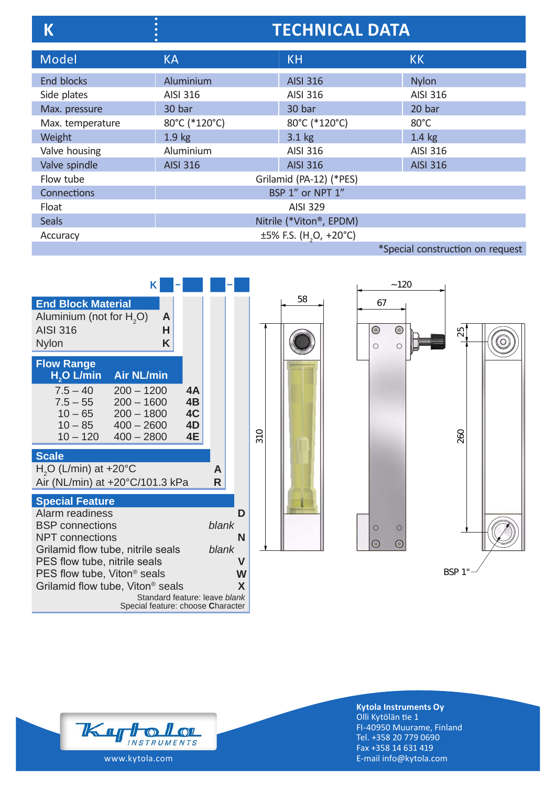| К                | $\bullet$<br>$\bullet$<br><b>TECHNICAL DATA</b> |                                          |                                  |
|------------------|-------------------------------------------------|------------------------------------------|----------------------------------|
| Model            | <b>KA</b>                                       | <b>KH</b>                                | <b>KK</b>                        |
| End blocks       | Aluminium                                       | <b>AISI 316</b>                          | <b>Nylon</b>                     |
| Side plates      | AISI 316                                        | AISI 316                                 | AISI 316                         |
| Max. pressure    | 30 bar                                          | 30 bar                                   | 20 bar                           |
| Max. temperature | 80°C (*120°C)                                   | 80°C (*120°C)                            | $80^{\circ}$ C                   |
| Weight           | 1.9 <sub>kg</sub>                               | $3.1 \text{ kg}$                         | $1.4$ kg                         |
| Valve housing    | Aluminium                                       | AISI 316                                 | AISI 316                         |
| Valve spindle    | <b>AISI 316</b>                                 | <b>AISI 316</b>                          | <b>AISI 316</b>                  |
| Flow tube        |                                                 | Grilamid (PA-12) (*PES)                  |                                  |
| Connections      | BSP 1" or NPT 1"                                |                                          |                                  |
| Float            | <b>AISI 329</b>                                 |                                          |                                  |
| <b>Seals</b>     |                                                 | Nitrile (*Viton®, EPDM)                  |                                  |
| Accuracy         |                                                 | $\pm 5\%$ F.S. (H <sub>2</sub> O, +20°C) |                                  |
|                  |                                                 |                                          | *Special construction on request |



Kapt  $\overline{O}$ INSTRUMENTS www.kytola.com

**Kytola Instruments Oy** Olli Kytölän tie 1 FI-40950 Muurame, Finland Tel. +358 20 779 0690 Fax +358 14 631 419 E-mail info@kytola.com